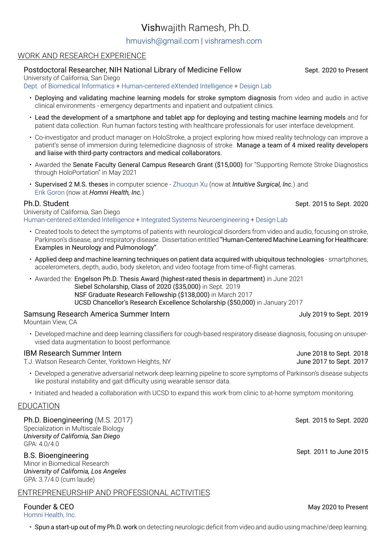# Vishwajith Ramesh, Ph.D.

### [hmuvish@gmail.com](mailto:hmuvish@gmail.com) | [vishramesh.com](https://vishramesh.com)

### WORK AND RESEARCH EXPERIENCE

### Postdoctoral Researcher, NIH National Library of Medicine Fellow Sept. 2020 to Present

University of California, San Diego

[Dept. of Biomedical Informatics](https://dbmi.ucsd.edu) + [Human-centered eXtended Intelligence](https://hxi.ucsd.edu/project/ubistroke/) + [Design Lab](https://designlab.ucsd.edu)

- Deploying and validating machine learning models for stroke symptom diagnosis from video and audio in active clinical environments - emergency departments and inpatient and outpatient clinics.
- Lead the development of a smartphone and tablet app for deploying and testing machine learning models and for patient data collection. Run human factors testing with healthcare professionals for user interface development.
- Co-investigator and product manager on HoloStroke, a project exploring how mixed reality technology can improve a patient's sense of immersion during telemedicine diagnosis of stroke. Manage a team of 4 mixed reality developers and liaise with third-party contractors and medical collaborators.
- Awarded the Senate Faculty General Campus Research Grant (\$15,000) for "Supporting Remote Stroke Diagnostics through HoloPortation" in May 2021
- Supervised 2 M.S. theses in computer science [Zhuoqun Xu](https://www.robin.place/home) (now at *Intuitive Surgical, Inc.*) and [Erik Goron](https://ch.linkedin.com/in/erikgoron) (now at *Homni Health, Inc.*)

University of California, San Diego [Human-centered eXtended Intelligence](https://hxi.ucsd.edu) + [Integrated Systems Neuroengineering](https://isn.ucsd.edu/index.php) + [Design Lab](https://designlab.ucsd.edu)

- Created tools to detect the symptoms of patients with neurological disorders from video and audio, focusing on stroke, Parkinson's disease, and respiratory disease. Dissertation entitled "Human-Centered Machine Learning for Healthcare: Examples in Neurology and Pulmonology".
- Applied deep and machine learning techniques on patient data acquired with ubiquitous technologies smartphones, accelerometers, depth, audio, body skeleton, and video footage from time-of-flight cameras.
- Awarded the: Engelson Ph.D. Thesis Award (highest-rated thesis in department) in June 2021 Siebel Scholarship, Class of 2020 (\$35,000) in Sept. 2019 NSF Graduate Research Fellowship (\$138,000) in March 2017 UCSD Chancellor's Research Excellence Scholarship (\$50,000) in January 2017

## Samsung Research America Summer Intern July 2019 to Sept. 2019

Mountain View, CA

• Developed machine and deep learning classifiers for cough-based respiratory disease diagnosis, focusing on unsupervised data augmentation to boost performance.

### IBM Research Summer Intern **Internal Community Community** Community Community Community Community Community Community Community Community Community Community Community Community Community Community Community Community Comm

T.J. Watson Research Center, Yorktown Heights, NY T.J. Watson Research Center, Yorktown Heights, NY

- Developed a generative adversarial network deep learning pipeline to score symptoms of Parkinson's disease subjects like postural instability and gait difficulty using wearable sensor data.
- Initiated and headed a collaboration with UCSD to expand this work from clinic to at-home symptom monitoring.

### EDUCATION

Ph.D. Bioengineering (M.S. 2017) Sept. 2015 to Sept. 2020 Specialization in Multiscale Biology *University of California, San Diego* GPA: 4.0/4.0

B.S. Bioengineering Sept. 2011 to June 2015 Minor in Biomedical Research *University of California, Los Angeles* GPA: 3.7/4.0 (cum laude)

### ENTREPRENEURSHIP AND PROFESSIONAL ACTIVITIES

Founder & CEO May 2020 to Present [Homni Health, Inc.](https://www.homnihealth.com)

• Spun a start-up out of my Ph.D. work on detecting neurologic deficit from video and audio using machine/deep learning.

Ph.D. Student Sept. 2020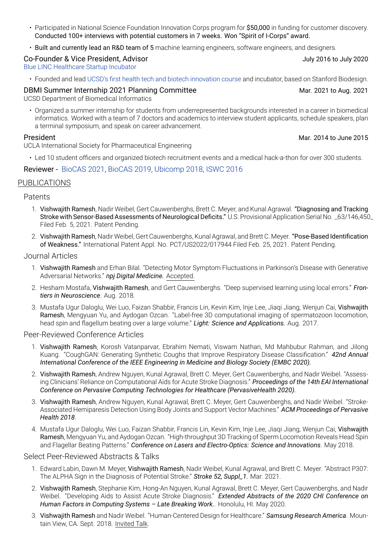- Participated in National Science Foundation Innovation Corps program for \$50,000 in funding for customer discovery. Conducted 100+ interviews with potential customers in 7 weeks. Won "Spirit of I-Corps" award.
- Built and currently lead an R&D team of 5 machine learning engineers, software engineers, and designers.

### Co-Founder & Vice President, Advisor July 2016 to July 2020

[Blue LINC Healthcare Startup Incubator](http://bluelinc.ucsd.edu)

• Founded and lead [UCSD's first health tech and biotech innovation course](https://ucsdnews.ucsd.edu/index.php/feature/the_missing_link_uc_san_diegos_first_biomedical_incubator/) and incubator, based on Stanford Biodesign.

DBMI Summer Internship 2021 Planning Committee Mar. 2021 to Aug. 2021 to Aug. 2021

UCSD Department of Biomedical Informatics

• Organized a summer internship for students from underrepresented backgrounds interested in a career in biomedical informatics. Worked with a team of 7 doctors and academics to interview student applicants, schedule speakers, plan a terminal symposium, and speak on career advancement.

UCLA International Society for Pharmaceutical Engineering

• Led 10 student officers and organized biotech recruitment events and a medical hack-a-thon for over 300 students.

### Reviewer - [BioCAS 2021](https://2021.ieee-biocas.org), [BioCAS 2019,](https://biocas2019.org) [Ubicomp 2018](http://ubicomp.org/ubicomp2018/index.html), [ISWC 2016](http://www.iswc.net/iswc16/?axn3y=515972)

### PUBLICATIONS

### Patents

- 1. Vishwajith Ramesh, Nadir Weibel, Gert Cauwenberghs, Brett C. Meyer, and Kunal Agrawal. "Diagnosing and Tracking Stroke with Sensor-Based Assessments of Neurological Deficits." U.S. Provisional Application Serial No. \_63/146,450\_ Filed Feb. 5, 2021. Patent Pending.
- 2. Vishwajith Ramesh, Nadir Weibel, Gert Cauwenberghs, Kunal Agrawal, and Brett C. Meyer. "Pose-Based Identification of Weakness." International Patent Appl. No. PCT/US2022/017944 Filed Feb. 25, 2021. Patent Pending.

### Journal Articles

- 1. Vishwajith Ramesh and Erhan Bilal. "Detecting Motor Symptom Fluctuations in Parkinson's Disease with Generative Adversarial Networks." *npj Digital Medicine.* Accepted.
- 2. Hesham Mostafa, Vishwajith Ramesh, and Gert Cauwenberghs. "Deep supervised learning using local errors." *Frontiers in Neuroscience*. Aug. 2018.
- 3. Mustafa Ugur Daloglu, Wei Luo, Faizan Shabbir, Francis Lin, Kevin Kim, Inje Lee, Jiaqi Jiang, Wenjun Cai, Vishwajith Ramesh, Mengyuan Yu, and Aydogan Ozcan. "Label-free 3D computational imaging of spermatozoon locomotion, head spin and flagellum beating over a large volume." *Light: Science and Applications.* Aug. 2017.

### Peer-Reviewed Conference Articles

- 1. Vishwajith Ramesh, Korosh Vatanparvar, Ebrahim Nemati, Viswam Nathan, Md Mahbubur Rahman, and Jilong Kuang. "CoughGAN: Generating Synthetic Coughs that Improve Respiratory Disease Classification." *42nd Annual International Conference of the IEEE Engineering in Medicine and Biology Society (EMBC 2020).*
- 2. Vishwajith Ramesh, Andrew Nguyen, Kunal Agrawal, Brett C. Meyer, Gert Cauwenberghs, and Nadir Weibel. "Assessing Clinicians' Reliance on Computational Aids for Acute Stroke Diagnosis." *Proceedings of the 14th EAI International Conference on Pervasive Computing Technologies for Healthcare (PervasiveHealth 2020).*
- 3. Vishwajith Ramesh, Andrew Nguyen, Kunal Agrawal, Brett C. Meyer, Gert Cauwenberghs, and Nadir Weibel. "Stroke-Associated Hemiparesis Detection Using Body Joints and Support Vector Machines." *ACM Proceedings of Pervasive Health 2018*.
- 4. Mustafa Ugur Daloglu, Wei Luo, Faizan Shabbir, Francis Lin, Kevin Kim, Inje Lee, Jiaqi Jiang, Wenjun Cai, Vishwajith Ramesh, Mengyuan Yu, and Aydogan Ozcan. "High-throughput 3D Tracking of Sperm Locomotion Reveals Head Spin and Flagellar Beating Patterns." *Conference on Lasers and Electro-Optics: Science and Innovations*. May 2018.

### Select Peer-Reviewed Abstracts & Talks

- 1. Edward Labin, Dawn M. Meyer, Vishwajith Ramesh, Nadir Weibel, Kunal Agrawal, and Brett C. Meyer. "Abstract P307: The ALPHA Sign in the Diagnosis of Potential Stroke." *Stroke 52, Suppl\_1.* Mar. 2021.
- 2. Vishwajith Ramesh, Stephanie Kim, Hong-An Nguyen, Kunal Agrawal, Brett C. Meyer, Gert Cauwenberghs, and Nadir Weibel. "Developing Aids to Assist Acute Stroke Diagnosis." *Extended Abstracts of the 2020 CHI Conference on Human Factors in Computing Systems – Late Breaking Work.*. Honolulu, HI. May 2020.
- 3. Vishwajith Ramesh and Nadir Weibel. "Human-Centered Design for Healthcare." *Samsung Research America*. Mountain View, CA. Sept. 2018. Invited Talk.

President Mar. 2014 to June 2015